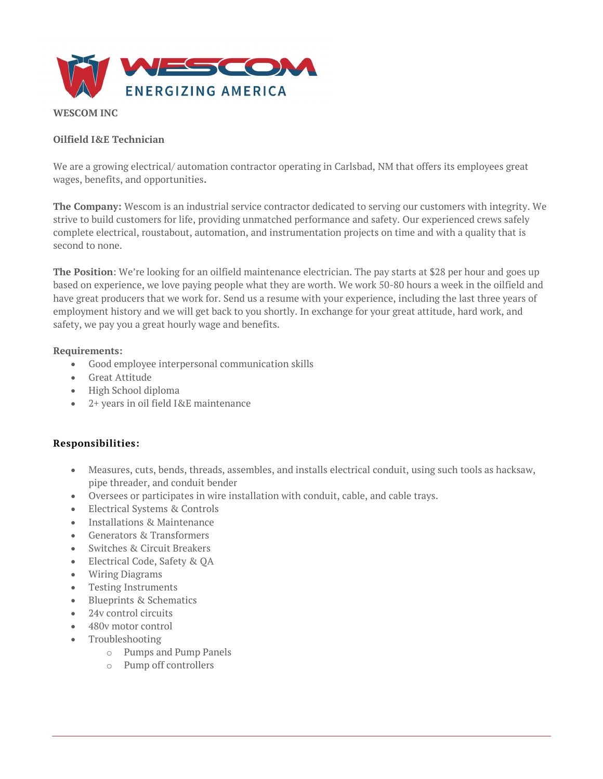

## WESCOM INC

## Oilfield I&E Technician

We are a growing electrical/ automation contractor operating in Carlsbad, NM that offers its employees great wages, benefits, and opportunities.

The Company: Wescom is an industrial service contractor dedicated to serving our customers with integrity. We strive to build customers for life, providing unmatched performance and safety. Our experienced crews safely complete electrical, roustabout, automation, and instrumentation projects on time and with a quality that is second to none.

The Position: We're looking for an oilfield maintenance electrician. The pay starts at \$28 per hour and goes up based on experience, we love paying people what they are worth. We work 50-80 hours a week in the oilfield and have great producers that we work for. Send us a resume with your experience, including the last three years of employment history and we will get back to you shortly. In exchange for your great attitude, hard work, and safety, we pay you a great hourly wage and benefits.

#### Requirements:

- Good employee interpersonal communication skills
- Great Attitude
- High School diploma
- 2+ years in oil field I&E maintenance

## Responsibilities:

- Measures, cuts, bends, threads, assembles, and installs electrical conduit, using such tools as hacksaw, pipe threader, and conduit bender
- Oversees or participates in wire installation with conduit, cable, and cable trays.
- Electrical Systems & Controls
- Installations & Maintenance
- Generators & Transformers
- Switches & Circuit Breakers
- Electrical Code, Safety & QA
- Wiring Diagrams
- Testing Instruments
- Blueprints & Schematics
- 24v control circuits
- 480v motor control
- Troubleshooting
	- o Pumps and Pump Panels
	- o Pump off controllers